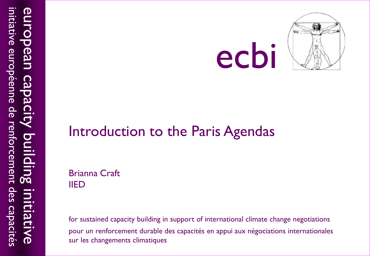



#### Introduction to the Paris Agendas

Brianna Craft IIED

for sustained capacity building in support of international climate change negotiations pour un renforcement durable des capacités en appui aux négociations internationales sur les changements climatiques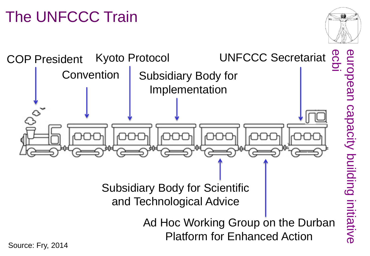# The UNFCCC Train



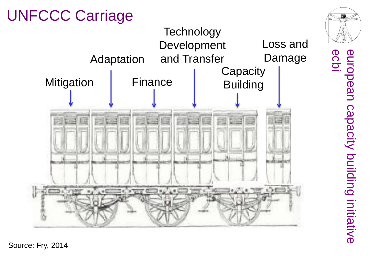

european<br>ecbi european capacity building initiative capacity building initiative

Source: Fry, 2014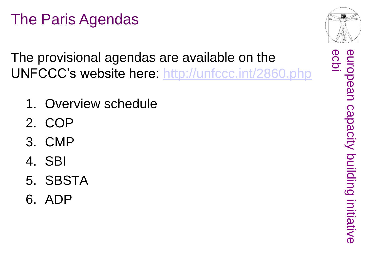# The Paris Agendas

The provisional agendas are available on the UNFCCC's website here:<http://unfccc.int/2860.php>

- 1. Overview schedule
- 2. COP
- 3. CMP
- 4. SBI
- 5. SBSTA
- 6. ADP



ecpl

enropean

european capacity building initiative

capacity building initiative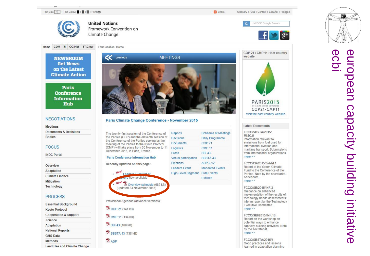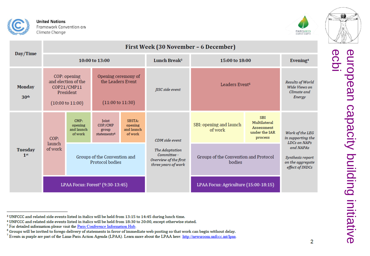



PARIS2015

| Day/Time                          | First Week (30 November - 6 December)                                                          |                                                 |                                                                         |                                            |                                                                               |                                                 |                                                                      |                                                                      |
|-----------------------------------|------------------------------------------------------------------------------------------------|-------------------------------------------------|-------------------------------------------------------------------------|--------------------------------------------|-------------------------------------------------------------------------------|-------------------------------------------------|----------------------------------------------------------------------|----------------------------------------------------------------------|
|                                   | 10:00 to 13:00                                                                                 |                                                 |                                                                         |                                            | Lunch Break <sup>3</sup>                                                      | 15:00 to 18:00                                  |                                                                      | Evening <sup>4</sup>                                                 |
| <b>Monday</b><br>30 <sup>th</sup> | COP: opening<br>and election of the<br>COP21/CMP11<br>President<br>$(10:00 \text{ to } 11:00)$ |                                                 | Opening ceremony of<br>the Leaders Event<br>$(11:00 \text{ to } 11:30)$ |                                            | <b>JISC</b> side event                                                        | Leaders Event <sup>5</sup>                      |                                                                      | <b>Results of World</b><br>Wide Views on<br>Climate and<br>Energy    |
| <b>Tuesday</b><br>1 <sup>st</sup> | COP:<br>launch<br>of work                                                                      | CMP:<br>opening<br>and launch<br>of work        | <b>Joint</b><br>COP/CMP<br>group<br>statements <sup>6</sup>             | SBSTA:<br>opening<br>and launch<br>of work | CDM side event                                                                | SBI: opening and launch<br>of work              | <b>SBI</b><br>Multilateral<br>Assessment<br>under the IAR<br>process | Work of the LEG<br>in supporting the<br><b>LDCs on NAPs</b>          |
|                                   |                                                                                                | Groups of the Convention and<br>Protocol bodies |                                                                         |                                            | The Adaptation<br>Committee -<br>Overview of the first<br>three years of work | Groups of the Convention and Protocol<br>bodies |                                                                      | and NAPAs<br>Synthesis report<br>on the aggregate<br>effect of INDCs |
|                                   | LPAA Focus: Forest <sup>7</sup> (9:30-13:45)                                                   |                                                 |                                                                         |                                            |                                                                               | LPAA Focus: Agriculture (15:00-18:15)           |                                                                      |                                                                      |

<sup>&</sup>lt;sup>3</sup> UNFCCC and related side events listed in italics will be held from 13:15 to 14:45 during lunch time.

<sup>&</sup>lt;sup>4</sup> UNFCCC and related side events listed in italics will be held from 18:30 to 20:00, except otherwise stated.

<sup>&</sup>lt;sup>5</sup> For detailed information please visit the Paris Conference Information Hub.

<sup>&</sup>lt;sup>6</sup> Groups will be invited to forego delivery of statements in favor of immediate web posting so that work can begin without delay.

<sup>&</sup>lt;sup>7</sup> Events in purple are part of the Lima-Paris Action Agenda (LPAA). Learn more about the LPAA here: http://newsroom.unfccc.int/lpaa.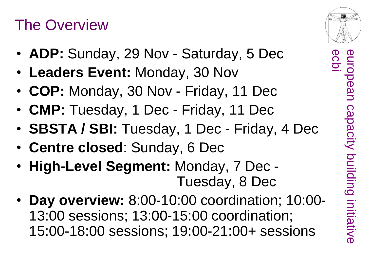#### The Overview

- **ADP:** Sunday, 29 Nov Saturday, 5 Dec
- **Leaders Event:** Monday, 30 Nov
- **COP:** Monday, 30 Nov Friday, 11 Dec
- **CMP:** Tuesday, 1 Dec Friday, 11 Dec
- **SBSTA / SBI:** Tuesday, 1 Dec Friday, 4 Dec
- **Centre closed**: Sunday, 6 Dec
- **High-Level Segment:** Monday, 7 Dec Tuesday, 8 Dec
- **Day overview:** 8:00-10:00 coordination; 10:00- 13:00 sessions; 13:00-15:00 coordination; 15:00-18:00 sessions; 19:00-21:00+ sessions

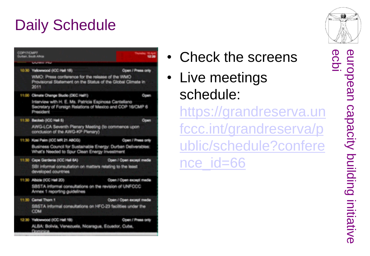# Daily Schedule



- Check the screens
- Live meetings schedule:

[https://grandreserva.un](https://grandreserva.unfccc.int/grandreserva/public/schedule?conference_id=66) [fccc.int/grandreserva/p](https://grandreserva.unfccc.int/grandreserva/public/schedule?conference_id=66) [ublic/schedule?confere](https://grandreserva.unfccc.int/grandreserva/public/schedule?conference_id=66) [nce\\_id=66](https://grandreserva.unfccc.int/grandreserva/public/schedule?conference_id=66)



eurol ecbi european capacity building initiative pean Capacity building initiative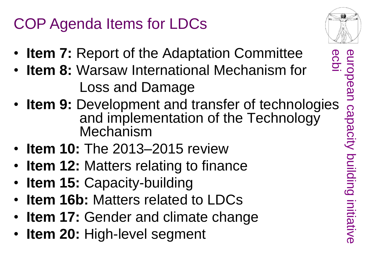# COP Agenda Items for LDCs

- **Item 7:** Report of the Adaptation Committee
- **Item 8:** Warsaw International Mechanism for Loss and Damage
- **Item 8:** Warsaw International Mechanism for<br>
Loss and Damage<br>
 **Item 9:** Development and transfer of technologies<br>
and implementation of the Technology<br> **Item 10:** The 2013–2015 review<br>
 **Item 12:** Matters relating to and implementation of the Technology **Mechanism**
- **Item 10:** The 2013–2015 review
- **Item 12:** Matters relating to finance
- **Item 15: Capacity-building**
- **Item 16b:** Matters related to LDCs
- **Item 17: Gender and climate change**
- **Item 20:** High-level segment



ecpi european capacity building initiative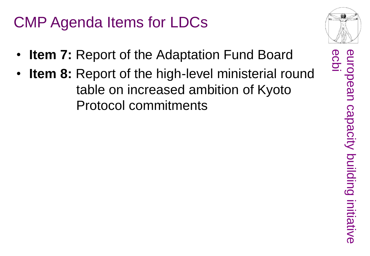### CMP Agenda Items for LDCs

- **Item 7:** Report of the Adaptation Fund Board
- **Item 8:** Report of the high-level ministerial round table on increased ambition of Kyoto Protocol commitments



european capacity building initiative

capacity building initiative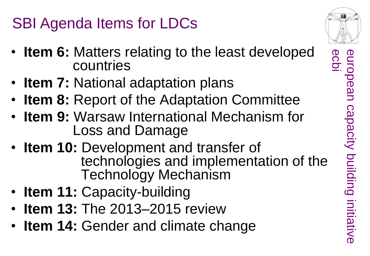SBI Agenda Items for LDCs

- **Item 6:** Matters relating to the least developed countries
- **Item 7:** National adaptation plans
- **Item 8:** Report of the Adaptation Committee
- **Item 9:** Warsaw International Mechanism for Loss and Damage
- **Item 10:** Development and transfer of technologies and implementation of the Technology Mechanism
- **Item 11: Capacity-building**
- **Item 13:** The 2013–2015 review
- **Item 14: Gender and climate change**

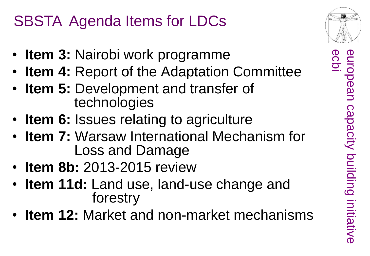## SBSTA Agenda Items for LDCs

- **Item 3:** Nairobi work programme
- **Item 4:** Report of the Adaptation Committee
- **Item 5:** Development and transfer of technologies
- **Item 6:** Issues relating to agriculture
- **Item 7:** Warsaw International Mechanism for Loss and Damage
- **Item 8b:** 2013-2015 review
- **Item 11d:** Land use, land-use change and forestry
- **Item 12:** Market and non-market mechanisms

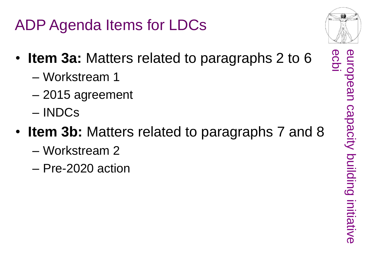ADP Agenda Items for LDCs

- **Item 3a:** Matters related to paragraphs 2 to 6
	- Workstream 1
	- 2015 agreement
	- INDCs
- **Item 3b:** Matters related to paragraphs 7 and 8
	- Workstream 2
	- Pre-2020 action



european<br>ecbi

european capacity building initiative

capacity building initiative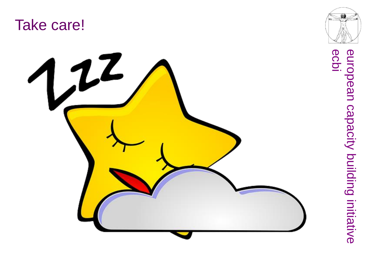